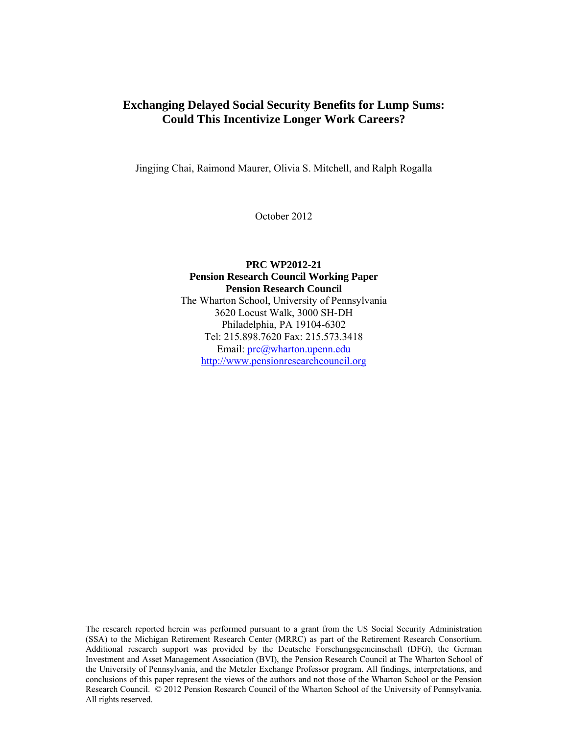# **Exchanging Delayed Social Security Benefits for Lump Sums: Could This Incentivize Longer Work Careers?**

Jingjing Chai, Raimond Maurer, Olivia S. Mitchell, and Ralph Rogalla

October 2012

# **PRC WP2012-21 Pension Research Council Working Paper Pension Research Council**  The Wharton School, University of Pennsylvania 3620 Locust Walk, 3000 SH-DH Philadelphia, PA 19104-6302 Tel: 215.898.7620 Fax: 215.573.3418 Email: prc@wharton.upenn.edu http://www.pensionresearchcouncil.org

The research reported herein was performed pursuant to a grant from the US Social Security Administration (SSA) to the Michigan Retirement Research Center (MRRC) as part of the Retirement Research Consortium. Additional research support was provided by the Deutsche Forschungsgemeinschaft (DFG), the German Investment and Asset Management Association (BVI), the Pension Research Council at The Wharton School of the University of Pennsylvania, and the Metzler Exchange Professor program. All findings, interpretations, and conclusions of this paper represent the views of the authors and not those of the Wharton School or the Pension Research Council. © 2012 Pension Research Council of the Wharton School of the University of Pennsylvania. All rights reserved.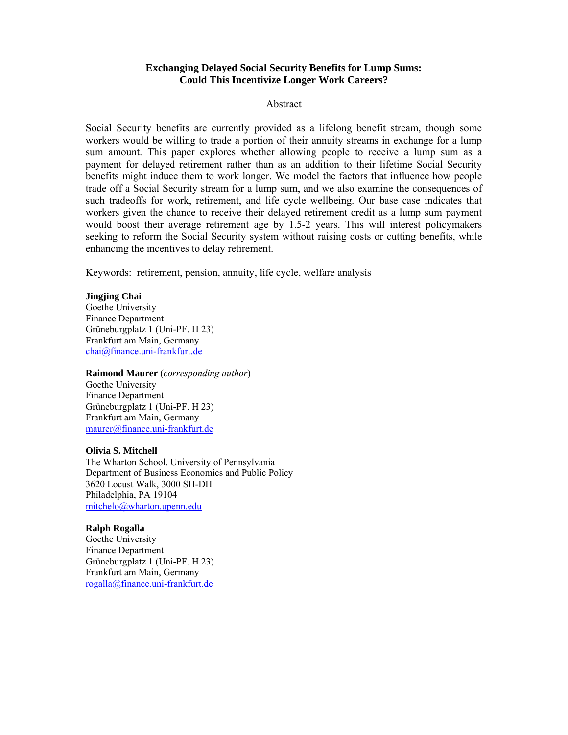# **Exchanging Delayed Social Security Benefits for Lump Sums: Could This Incentivize Longer Work Careers?**

## Abstract

Social Security benefits are currently provided as a lifelong benefit stream, though some workers would be willing to trade a portion of their annuity streams in exchange for a lump sum amount. This paper explores whether allowing people to receive a lump sum as a payment for delayed retirement rather than as an addition to their lifetime Social Security benefits might induce them to work longer. We model the factors that influence how people trade off a Social Security stream for a lump sum, and we also examine the consequences of such tradeoffs for work, retirement, and life cycle wellbeing. Our base case indicates that workers given the chance to receive their delayed retirement credit as a lump sum payment would boost their average retirement age by 1.5-2 years. This will interest policymakers seeking to reform the Social Security system without raising costs or cutting benefits, while enhancing the incentives to delay retirement.

Keywords: retirement, pension, annuity, life cycle, welfare analysis

### **Jingjing Chai**

Goethe University Finance Department Grüneburgplatz 1 (Uni-PF. H 23) Frankfurt am Main, Germany chai@finance.uni-frankfurt.de

### **Raimond Maurer** (*corresponding author*)

Goethe University Finance Department Grüneburgplatz 1 (Uni-PF. H 23) Frankfurt am Main, Germany maurer@finance.uni-frankfurt.de

### **Olivia S. Mitchell**

The Wharton School, University of Pennsylvania Department of Business Economics and Public Policy 3620 Locust Walk, 3000 SH-DH Philadelphia, PA 19104 mitchelo@wharton.upenn.edu

### **Ralph Rogalla**

Goethe University Finance Department Grüneburgplatz 1 (Uni-PF. H 23) Frankfurt am Main, Germany rogalla@finance.uni-frankfurt.de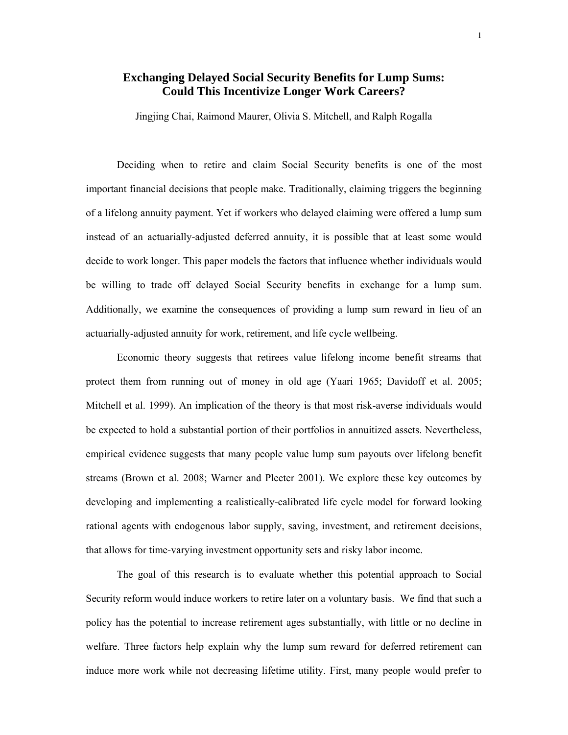# **Exchanging Delayed Social Security Benefits for Lump Sums: Could This Incentivize Longer Work Careers?**

Jingjing Chai, Raimond Maurer, Olivia S. Mitchell, and Ralph Rogalla

Deciding when to retire and claim Social Security benefits is one of the most important financial decisions that people make. Traditionally, claiming triggers the beginning of a lifelong annuity payment. Yet if workers who delayed claiming were offered a lump sum instead of an actuarially-adjusted deferred annuity, it is possible that at least some would decide to work longer. This paper models the factors that influence whether individuals would be willing to trade off delayed Social Security benefits in exchange for a lump sum. Additionally, we examine the consequences of providing a lump sum reward in lieu of an actuarially-adjusted annuity for work, retirement, and life cycle wellbeing.

Economic theory suggests that retirees value lifelong income benefit streams that protect them from running out of money in old age (Yaari 1965; Davidoff et al. 2005; Mitchell et al. 1999). An implication of the theory is that most risk-averse individuals would be expected to hold a substantial portion of their portfolios in annuitized assets. Nevertheless, empirical evidence suggests that many people value lump sum payouts over lifelong benefit streams (Brown et al. 2008; Warner and Pleeter 2001). We explore these key outcomes by developing and implementing a realistically-calibrated life cycle model for forward looking rational agents with endogenous labor supply, saving, investment, and retirement decisions, that allows for time-varying investment opportunity sets and risky labor income.

The goal of this research is to evaluate whether this potential approach to Social Security reform would induce workers to retire later on a voluntary basis. We find that such a policy has the potential to increase retirement ages substantially, with little or no decline in welfare. Three factors help explain why the lump sum reward for deferred retirement can induce more work while not decreasing lifetime utility. First, many people would prefer to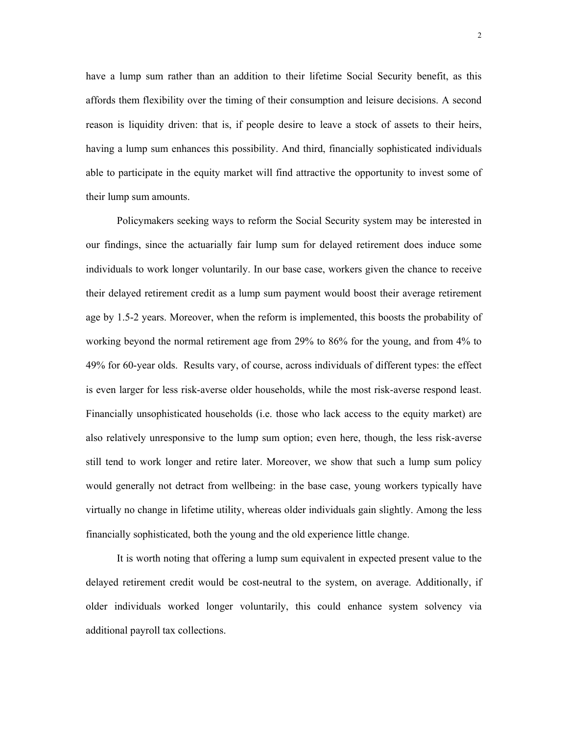have a lump sum rather than an addition to their lifetime Social Security benefit, as this affords them flexibility over the timing of their consumption and leisure decisions. A second reason is liquidity driven: that is, if people desire to leave a stock of assets to their heirs, having a lump sum enhances this possibility. And third, financially sophisticated individuals able to participate in the equity market will find attractive the opportunity to invest some of their lump sum amounts.

 Policymakers seeking ways to reform the Social Security system may be interested in our findings, since the actuarially fair lump sum for delayed retirement does induce some individuals to work longer voluntarily. In our base case, workers given the chance to receive their delayed retirement credit as a lump sum payment would boost their average retirement age by 1.5-2 years. Moreover, when the reform is implemented, this boosts the probability of working beyond the normal retirement age from 29% to 86% for the young, and from 4% to 49% for 60-year olds. Results vary, of course, across individuals of different types: the effect is even larger for less risk-averse older households, while the most risk-averse respond least. Financially unsophisticated households (i.e. those who lack access to the equity market) are also relatively unresponsive to the lump sum option; even here, though, the less risk-averse still tend to work longer and retire later. Moreover, we show that such a lump sum policy would generally not detract from wellbeing: in the base case, young workers typically have virtually no change in lifetime utility, whereas older individuals gain slightly. Among the less financially sophisticated, both the young and the old experience little change.

 It is worth noting that offering a lump sum equivalent in expected present value to the delayed retirement credit would be cost-neutral to the system, on average. Additionally, if older individuals worked longer voluntarily, this could enhance system solvency via additional payroll tax collections.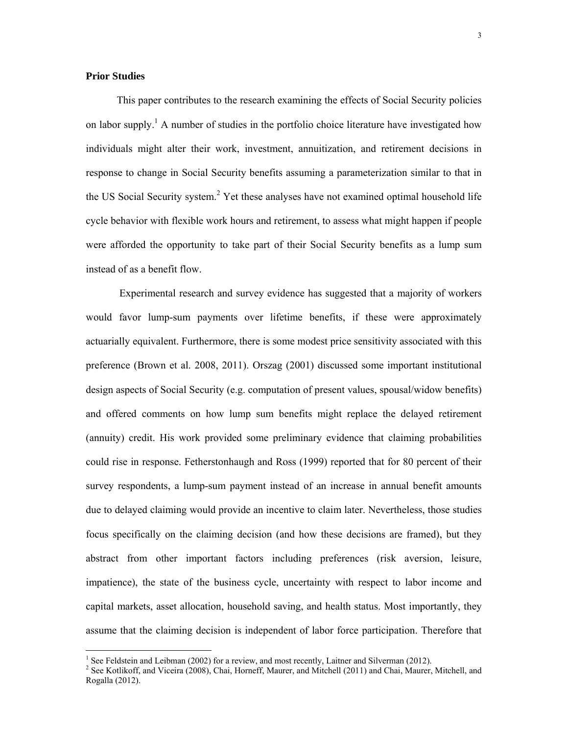# **Prior Studies**

 $\overline{a}$ 

This paper contributes to the research examining the effects of Social Security policies on labor supply.<sup>1</sup> A number of studies in the portfolio choice literature have investigated how individuals might alter their work, investment, annuitization, and retirement decisions in response to change in Social Security benefits assuming a parameterization similar to that in the US Social Security system.<sup>2</sup> Yet these analyses have not examined optimal household life cycle behavior with flexible work hours and retirement, to assess what might happen if people were afforded the opportunity to take part of their Social Security benefits as a lump sum instead of as a benefit flow.

 Experimental research and survey evidence has suggested that a majority of workers would favor lump-sum payments over lifetime benefits, if these were approximately actuarially equivalent. Furthermore, there is some modest price sensitivity associated with this preference (Brown et al. 2008, 2011). Orszag (2001) discussed some important institutional design aspects of Social Security (e.g. computation of present values, spousal/widow benefits) and offered comments on how lump sum benefits might replace the delayed retirement (annuity) credit. His work provided some preliminary evidence that claiming probabilities could rise in response. Fetherstonhaugh and Ross (1999) reported that for 80 percent of their survey respondents, a lump-sum payment instead of an increase in annual benefit amounts due to delayed claiming would provide an incentive to claim later. Nevertheless, those studies focus specifically on the claiming decision (and how these decisions are framed), but they abstract from other important factors including preferences (risk aversion, leisure, impatience), the state of the business cycle, uncertainty with respect to labor income and capital markets, asset allocation, household saving, and health status. Most importantly, they assume that the claiming decision is independent of labor force participation. Therefore that

<sup>&</sup>lt;sup>1</sup> See Feldstein and Leibman (2002) for a review, and most recently, Laitner and Silverman (2012).

<sup>&</sup>lt;sup>2</sup> See Kotlikoff, and Viceira (2008), Chai, Horneff, Maurer, and Mitchell (2011) and Chai, Maurer, Mitchell, and Rogalla (2012).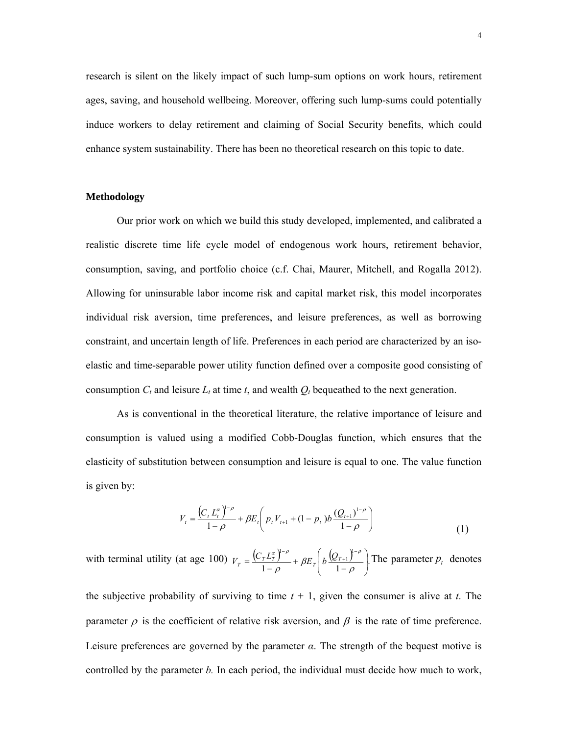research is silent on the likely impact of such lump-sum options on work hours, retirement ages, saving, and household wellbeing. Moreover, offering such lump-sums could potentially induce workers to delay retirement and claiming of Social Security benefits, which could enhance system sustainability. There has been no theoretical research on this topic to date.

### **Methodology**

Our prior work on which we build this study developed, implemented, and calibrated a realistic discrete time life cycle model of endogenous work hours, retirement behavior, consumption, saving, and portfolio choice (c.f. Chai, Maurer, Mitchell, and Rogalla 2012). Allowing for uninsurable labor income risk and capital market risk, this model incorporates individual risk aversion, time preferences, and leisure preferences, as well as borrowing constraint, and uncertain length of life. Preferences in each period are characterized by an isoelastic and time-separable power utility function defined over a composite good consisting of consumption  $C_t$  and leisure  $L_t$  at time  $t$ , and wealth  $Q_t$  bequeathed to the next generation.

As is conventional in the theoretical literature, the relative importance of leisure and consumption is valued using a modified Cobb-Douglas function, which ensures that the elasticity of substitution between consumption and leisure is equal to one. The value function is given by:

$$
V_{t} = \frac{\left(C_{t} L_{t}^{\alpha}\right)^{1-\rho}}{1-\rho} + \beta E_{t} \left(p_{t} V_{t+1} + (1-p_{t}) b \frac{\left(Q_{t+1}\right)^{1-\rho}}{1-\rho}\right)
$$
\n(1)

with terminal utility (at age 100)  $V_T = \frac{(C_T L_T^{\alpha})^{-\rho}}{1-\rho} + \beta E_T \left( b \frac{(Q_{T+1})^{-\rho}}{1-\rho} \right).$ 1 1  $\overline{\phantom{a}}$  $\overline{\phantom{a}}$ J ) L I  $\backslash$ ſ  $=\frac{(\mathcal{C}_T - \mathcal{C}_T)}{1-\rho} + \beta E_T \left[ b \frac{(\mathcal{C}_T + \mathcal{C}_T)}{1-\rho} \right]$ i,  $^{+}$ - $\frac{\partial}{\partial \rho} + \beta E_T \left[ b \frac{\sqrt{E_T + 1 f}}{1 - \rho} \right]$  $V_T = \frac{(C_T L_T^{\alpha})^{1-\rho}}{1-\rho} + \beta E_T \left( b \frac{(Q_{T+1})^{1-\rho}}{1-\rho} \right)$ . The parameter  $p_t$  denotes

the subjective probability of surviving to time  $t + 1$ , given the consumer is alive at  $t$ . The parameter  $\rho$  is the coefficient of relative risk aversion, and  $\beta$  is the rate of time preference. Leisure preferences are governed by the parameter *α*. The strength of the bequest motive is controlled by the parameter *b.* In each period, the individual must decide how much to work,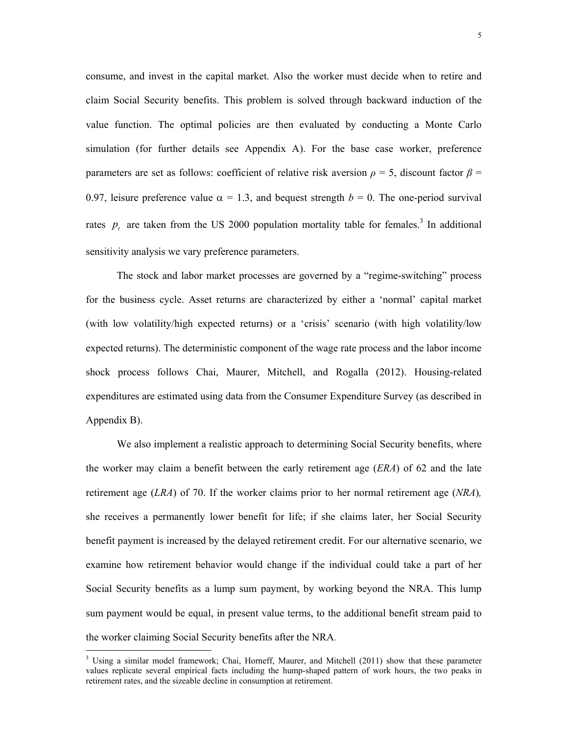consume, and invest in the capital market. Also the worker must decide when to retire and claim Social Security benefits. This problem is solved through backward induction of the value function. The optimal policies are then evaluated by conducting a Monte Carlo simulation (for further details see Appendix A). For the base case worker, preference parameters are set as follows: coefficient of relative risk aversion  $\rho = 5$ , discount factor  $\beta =$ 0.97, leisure preference value  $\alpha = 1.3$ , and bequest strength  $b = 0$ . The one-period survival rates  $p_t$  are taken from the US 2000 population mortality table for females.<sup>3</sup> In additional sensitivity analysis we vary preference parameters.

The stock and labor market processes are governed by a "regime-switching" process for the business cycle. Asset returns are characterized by either a 'normal' capital market (with low volatility/high expected returns) or a 'crisis' scenario (with high volatility/low expected returns). The deterministic component of the wage rate process and the labor income shock process follows Chai, Maurer, Mitchell, and Rogalla (2012). Housing-related expenditures are estimated using data from the Consumer Expenditure Survey (as described in Appendix B).

 We also implement a realistic approach to determining Social Security benefits, where the worker may claim a benefit between the early retirement age (*ERA*) of 62 and the late retirement age (*LRA*) of 70. If the worker claims prior to her normal retirement age (*NRA*)*,*  she receives a permanently lower benefit for life; if she claims later, her Social Security benefit payment is increased by the delayed retirement credit. For our alternative scenario, we examine how retirement behavior would change if the individual could take a part of her Social Security benefits as a lump sum payment, by working beyond the NRA. This lump sum payment would be equal, in present value terms, to the additional benefit stream paid to the worker claiming Social Security benefits after the NRA.

 $\overline{a}$ 

<sup>&</sup>lt;sup>3</sup> Using a similar model framework; Chai, Horneff, Maurer, and Mitchell (2011) show that these parameter values replicate several empirical facts including the hump-shaped pattern of work hours, the two peaks in retirement rates, and the sizeable decline in consumption at retirement.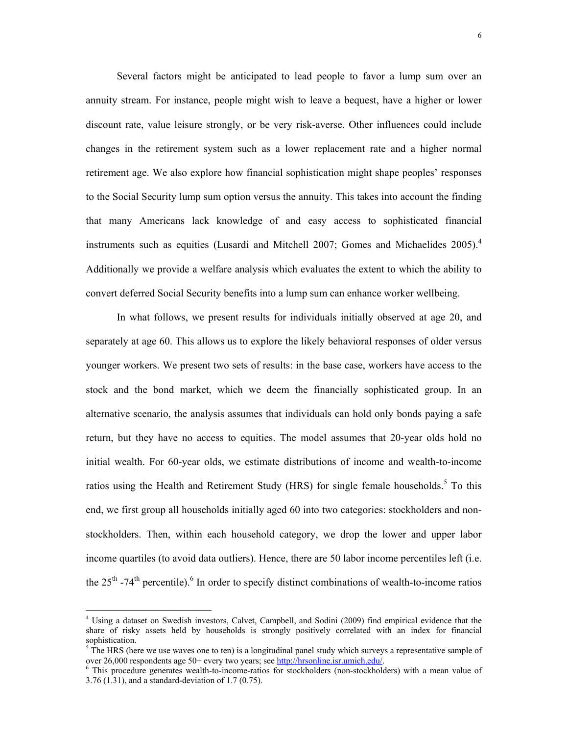Several factors might be anticipated to lead people to favor a lump sum over an annuity stream. For instance, people might wish to leave a bequest, have a higher or lower discount rate, value leisure strongly, or be very risk-averse. Other influences could include changes in the retirement system such as a lower replacement rate and a higher normal retirement age. We also explore how financial sophistication might shape peoples' responses to the Social Security lump sum option versus the annuity. This takes into account the finding that many Americans lack knowledge of and easy access to sophisticated financial instruments such as equities (Lusardi and Mitchell 2007; Gomes and Michaelides 2005).<sup>4</sup> Additionally we provide a welfare analysis which evaluates the extent to which the ability to convert deferred Social Security benefits into a lump sum can enhance worker wellbeing.

 In what follows, we present results for individuals initially observed at age 20, and separately at age 60. This allows us to explore the likely behavioral responses of older versus younger workers. We present two sets of results: in the base case, workers have access to the stock and the bond market, which we deem the financially sophisticated group. In an alternative scenario, the analysis assumes that individuals can hold only bonds paying a safe return, but they have no access to equities. The model assumes that 20-year olds hold no initial wealth. For 60-year olds, we estimate distributions of income and wealth-to-income ratios using the Health and Retirement Study (HRS) for single female households.<sup>5</sup> To this end, we first group all households initially aged 60 into two categories: stockholders and nonstockholders. Then, within each household category, we drop the lower and upper labor income quartiles (to avoid data outliers). Hence, there are 50 labor income percentiles left (i.e. the  $25<sup>th</sup>$  -74<sup>th</sup> percentile).<sup>6</sup> In order to specify distinct combinations of wealth-to-income ratios

 $\overline{a}$ 

<sup>&</sup>lt;sup>4</sup> Using a dataset on Swedish investors, Calvet, Campbell, and Sodini (2009) find empirical evidence that the share of risky assets held by households is strongly positively correlated with an index for financial sophistication.

 $5$  The HRS (here we use waves one to ten) is a longitudinal panel study which surveys a representative sample of over 26,000 respondents age 50+ every two years; see http://hrsonline.isr.umich.edu/. 6

This procedure generates wealth-to-income-ratios for stockholders (non-stockholders) with a mean value of 3.76 (1.31), and a standard-deviation of 1.7 (0.75).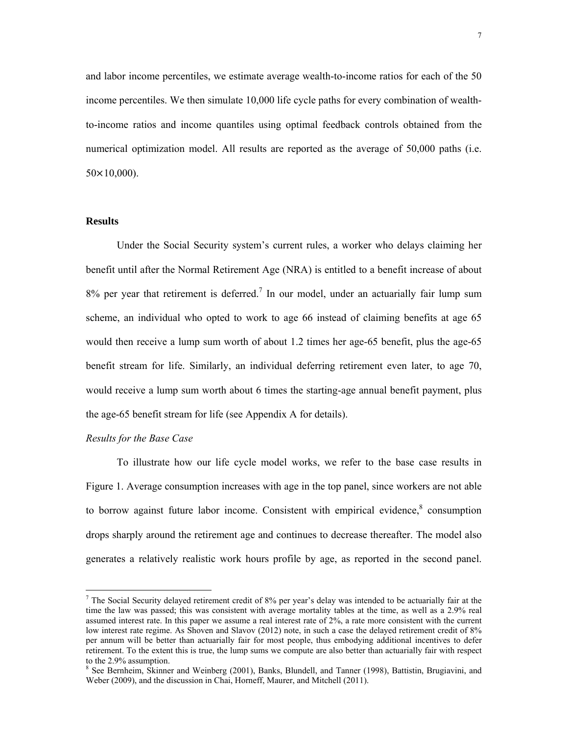and labor income percentiles, we estimate average wealth-to-income ratios for each of the 50 income percentiles. We then simulate 10,000 life cycle paths for every combination of wealthto-income ratios and income quantiles using optimal feedback controls obtained from the numerical optimization model. All results are reported as the average of 50,000 paths (i.e.  $50 \times 10,000$ ).

# **Results**

 Under the Social Security system's current rules, a worker who delays claiming her benefit until after the Normal Retirement Age (NRA) is entitled to a benefit increase of about  $8\%$  per year that retirement is deferred.<sup>7</sup> In our model, under an actuarially fair lump sum scheme, an individual who opted to work to age 66 instead of claiming benefits at age 65 would then receive a lump sum worth of about 1.2 times her age-65 benefit, plus the age-65 benefit stream for life. Similarly, an individual deferring retirement even later, to age 70, would receive a lump sum worth about 6 times the starting-age annual benefit payment, plus the age-65 benefit stream for life (see Appendix A for details).

## *Results for the Base Case*

 $\overline{a}$ 

 To illustrate how our life cycle model works, we refer to the base case results in Figure 1. Average consumption increases with age in the top panel, since workers are not able to borrow against future labor income. Consistent with empirical evidence, $\delta$  consumption drops sharply around the retirement age and continues to decrease thereafter. The model also generates a relatively realistic work hours profile by age, as reported in the second panel.

<sup>&</sup>lt;sup>7</sup> The Social Security delayed retirement credit of 8% per year's delay was intended to be actuarially fair at the time the law was passed; this was consistent with average mortality tables at the time, as well as a 2.9% real assumed interest rate. In this paper we assume a real interest rate of 2%, a rate more consistent with the current low interest rate regime. As Shoven and Slavov (2012) note, in such a case the delayed retirement credit of 8% per annum will be better than actuarially fair for most people, thus embodying additional incentives to defer retirement. To the extent this is true, the lump sums we compute are also better than actuarially fair with respect to the 2.9% assumption.

<sup>&</sup>lt;sup>8</sup> See Bernheim, Skinner and Weinberg (2001), Banks, Blundell, and Tanner (1998), Battistin, Brugiavini, and Weber (2009), and the discussion in Chai, Horneff, Maurer, and Mitchell (2011).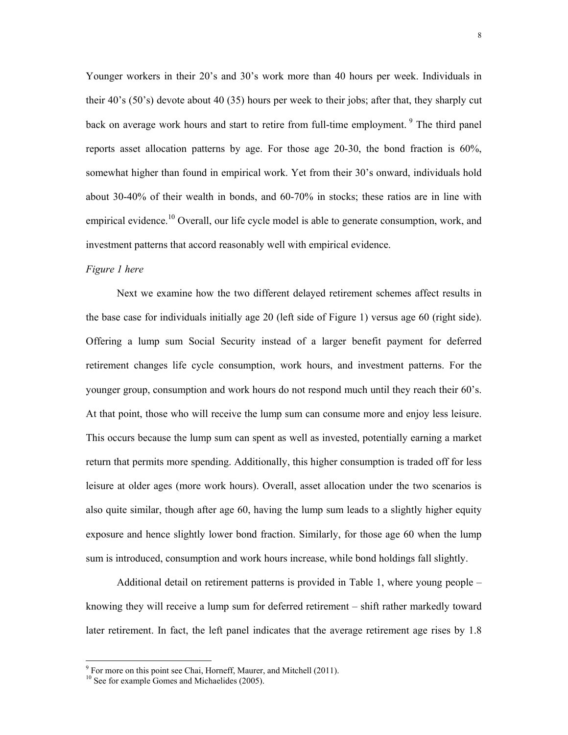Younger workers in their 20's and 30's work more than 40 hours per week. Individuals in their 40's (50's) devote about 40 (35) hours per week to their jobs; after that, they sharply cut back on average work hours and start to retire from full-time employment. <sup>9</sup> The third panel reports asset allocation patterns by age. For those age 20-30, the bond fraction is 60%, somewhat higher than found in empirical work. Yet from their 30's onward, individuals hold about 30-40% of their wealth in bonds, and 60-70% in stocks; these ratios are in line with empirical evidence.<sup>10</sup> Overall, our life cycle model is able to generate consumption, work, and investment patterns that accord reasonably well with empirical evidence.

#### *Figure 1 here*

 Next we examine how the two different delayed retirement schemes affect results in the base case for individuals initially age 20 (left side of Figure 1) versus age 60 (right side). Offering a lump sum Social Security instead of a larger benefit payment for deferred retirement changes life cycle consumption, work hours, and investment patterns. For the younger group, consumption and work hours do not respond much until they reach their 60's. At that point, those who will receive the lump sum can consume more and enjoy less leisure. This occurs because the lump sum can spent as well as invested, potentially earning a market return that permits more spending. Additionally, this higher consumption is traded off for less leisure at older ages (more work hours). Overall, asset allocation under the two scenarios is also quite similar, though after age 60, having the lump sum leads to a slightly higher equity exposure and hence slightly lower bond fraction. Similarly, for those age 60 when the lump sum is introduced, consumption and work hours increase, while bond holdings fall slightly.

 Additional detail on retirement patterns is provided in Table 1, where young people – knowing they will receive a lump sum for deferred retirement – shift rather markedly toward later retirement. In fact, the left panel indicates that the average retirement age rises by 1.8

<sup>&</sup>lt;sup>9</sup> For more on this point see Chai, Horneff, Maurer, and Mitchell (2011).

<sup>&</sup>lt;sup>10</sup> See for example Gomes and Michaelides (2005).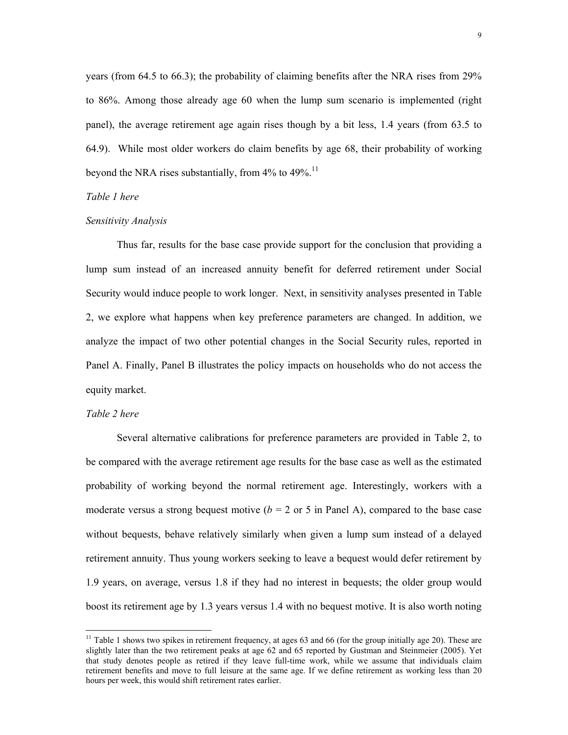years (from 64.5 to 66.3); the probability of claiming benefits after the NRA rises from 29% to 86%. Among those already age 60 when the lump sum scenario is implemented (right panel), the average retirement age again rises though by a bit less, 1.4 years (from 63.5 to 64.9). While most older workers do claim benefits by age 68, their probability of working beyond the NRA rises substantially, from  $4\%$  to  $49\%$ .<sup>11</sup>

### *Table 1 here*

#### *Sensitivity Analysis*

 Thus far, results for the base case provide support for the conclusion that providing a lump sum instead of an increased annuity benefit for deferred retirement under Social Security would induce people to work longer. Next, in sensitivity analyses presented in Table 2, we explore what happens when key preference parameters are changed. In addition, we analyze the impact of two other potential changes in the Social Security rules, reported in Panel A. Finally, Panel B illustrates the policy impacts on households who do not access the equity market.

## *Table 2 here*

 $\overline{a}$ 

 Several alternative calibrations for preference parameters are provided in Table 2, to be compared with the average retirement age results for the base case as well as the estimated probability of working beyond the normal retirement age. Interestingly, workers with a moderate versus a strong bequest motive ( $b = 2$  or 5 in Panel A), compared to the base case without bequests, behave relatively similarly when given a lump sum instead of a delayed retirement annuity. Thus young workers seeking to leave a bequest would defer retirement by 1.9 years, on average, versus 1.8 if they had no interest in bequests; the older group would boost its retirement age by 1.3 years versus 1.4 with no bequest motive. It is also worth noting

 $11$  Table 1 shows two spikes in retirement frequency, at ages 63 and 66 (for the group initially age 20). These are slightly later than the two retirement peaks at age 62 and 65 reported by Gustman and Steinmeier (2005). Yet that study denotes people as retired if they leave full-time work, while we assume that individuals claim retirement benefits and move to full leisure at the same age. If we define retirement as working less than 20 hours per week, this would shift retirement rates earlier.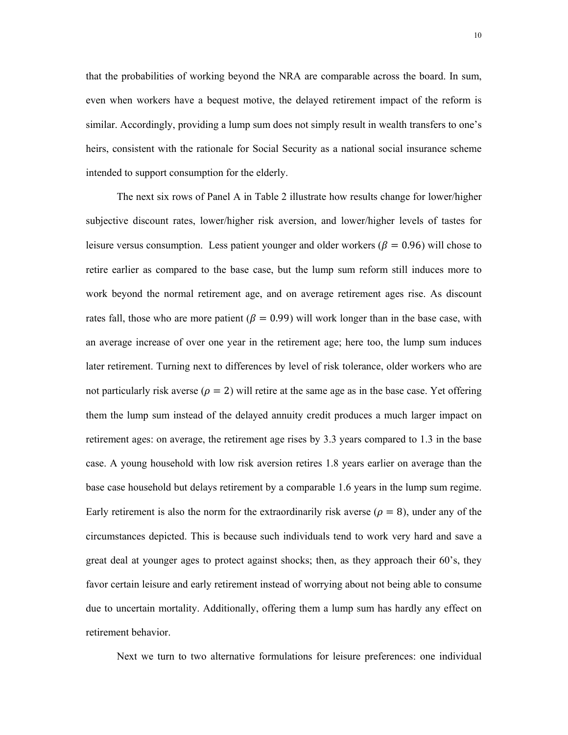that the probabilities of working beyond the NRA are comparable across the board. In sum, even when workers have a bequest motive, the delayed retirement impact of the reform is similar. Accordingly, providing a lump sum does not simply result in wealth transfers to one's heirs, consistent with the rationale for Social Security as a national social insurance scheme intended to support consumption for the elderly.

 The next six rows of Panel A in Table 2 illustrate how results change for lower/higher subjective discount rates, lower/higher risk aversion, and lower/higher levels of tastes for leisure versus consumption. Less patient younger and older workers ( $\beta = 0.96$ ) will chose to retire earlier as compared to the base case, but the lump sum reform still induces more to work beyond the normal retirement age, and on average retirement ages rise. As discount rates fall, those who are more patient ( $\beta = 0.99$ ) will work longer than in the base case, with an average increase of over one year in the retirement age; here too, the lump sum induces later retirement. Turning next to differences by level of risk tolerance, older workers who are not particularly risk averse ( $\rho = 2$ ) will retire at the same age as in the base case. Yet offering them the lump sum instead of the delayed annuity credit produces a much larger impact on retirement ages: on average, the retirement age rises by 3.3 years compared to 1.3 in the base case. A young household with low risk aversion retires 1.8 years earlier on average than the base case household but delays retirement by a comparable 1.6 years in the lump sum regime. Early retirement is also the norm for the extraordinarily risk averse ( $\rho = 8$ ), under any of the circumstances depicted. This is because such individuals tend to work very hard and save a great deal at younger ages to protect against shocks; then, as they approach their 60's, they favor certain leisure and early retirement instead of worrying about not being able to consume due to uncertain mortality. Additionally, offering them a lump sum has hardly any effect on retirement behavior.

Next we turn to two alternative formulations for leisure preferences: one individual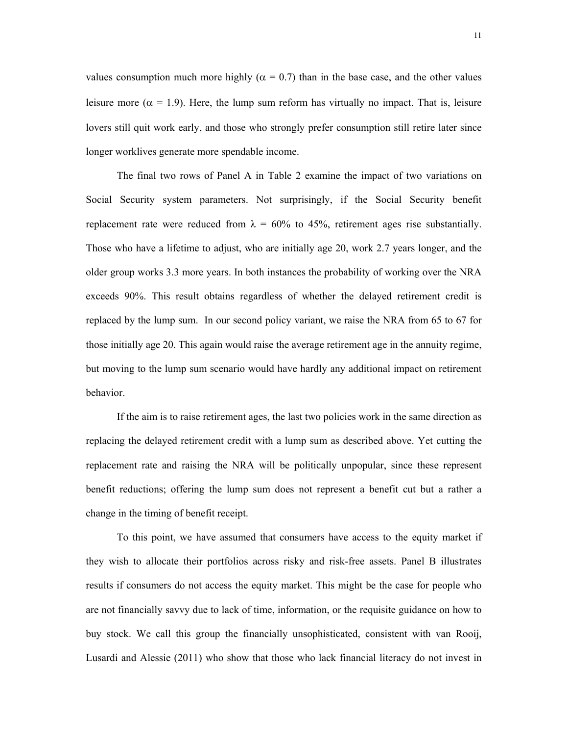values consumption much more highly ( $\alpha = 0.7$ ) than in the base case, and the other values leisure more ( $\alpha = 1.9$ ). Here, the lump sum reform has virtually no impact. That is, leisure lovers still quit work early, and those who strongly prefer consumption still retire later since longer worklives generate more spendable income.

 The final two rows of Panel A in Table 2 examine the impact of two variations on Social Security system parameters. Not surprisingly, if the Social Security benefit replacement rate were reduced from  $\lambda = 60\%$  to 45%, retirement ages rise substantially. Those who have a lifetime to adjust, who are initially age 20, work 2.7 years longer, and the older group works 3.3 more years. In both instances the probability of working over the NRA exceeds 90%. This result obtains regardless of whether the delayed retirement credit is replaced by the lump sum. In our second policy variant, we raise the NRA from 65 to 67 for those initially age 20. This again would raise the average retirement age in the annuity regime, but moving to the lump sum scenario would have hardly any additional impact on retirement behavior.

 If the aim is to raise retirement ages, the last two policies work in the same direction as replacing the delayed retirement credit with a lump sum as described above. Yet cutting the replacement rate and raising the NRA will be politically unpopular, since these represent benefit reductions; offering the lump sum does not represent a benefit cut but a rather a change in the timing of benefit receipt.

 To this point, we have assumed that consumers have access to the equity market if they wish to allocate their portfolios across risky and risk-free assets. Panel B illustrates results if consumers do not access the equity market. This might be the case for people who are not financially savvy due to lack of time, information, or the requisite guidance on how to buy stock. We call this group the financially unsophisticated, consistent with van Rooij, Lusardi and Alessie (2011) who show that those who lack financial literacy do not invest in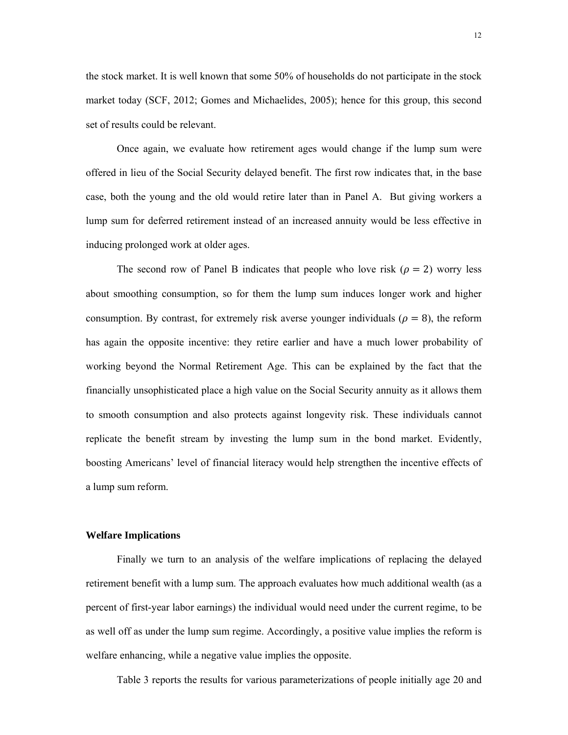the stock market. It is well known that some 50% of households do not participate in the stock market today (SCF, 2012; Gomes and Michaelides, 2005); hence for this group, this second set of results could be relevant.

 Once again, we evaluate how retirement ages would change if the lump sum were offered in lieu of the Social Security delayed benefit. The first row indicates that, in the base case, both the young and the old would retire later than in Panel A. But giving workers a lump sum for deferred retirement instead of an increased annuity would be less effective in inducing prolonged work at older ages.

The second row of Panel B indicates that people who love risk  $(\rho = 2)$  worry less about smoothing consumption, so for them the lump sum induces longer work and higher consumption. By contrast, for extremely risk averse younger individuals ( $\rho = 8$ ), the reform has again the opposite incentive: they retire earlier and have a much lower probability of working beyond the Normal Retirement Age. This can be explained by the fact that the financially unsophisticated place a high value on the Social Security annuity as it allows them to smooth consumption and also protects against longevity risk. These individuals cannot replicate the benefit stream by investing the lump sum in the bond market. Evidently, boosting Americans' level of financial literacy would help strengthen the incentive effects of a lump sum reform.

# **Welfare Implications**

 Finally we turn to an analysis of the welfare implications of replacing the delayed retirement benefit with a lump sum. The approach evaluates how much additional wealth (as a percent of first-year labor earnings) the individual would need under the current regime, to be as well off as under the lump sum regime. Accordingly, a positive value implies the reform is welfare enhancing, while a negative value implies the opposite.

Table 3 reports the results for various parameterizations of people initially age 20 and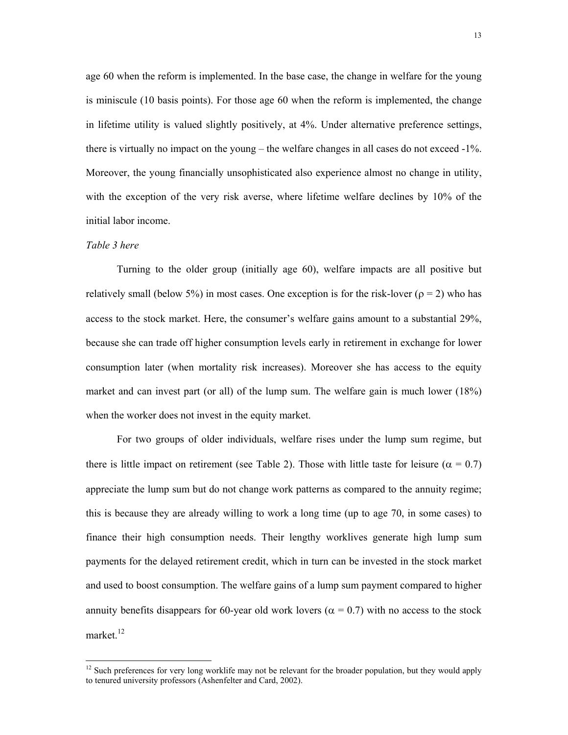age 60 when the reform is implemented. In the base case, the change in welfare for the young is miniscule (10 basis points). For those age 60 when the reform is implemented, the change in lifetime utility is valued slightly positively, at 4%. Under alternative preference settings, there is virtually no impact on the young – the welfare changes in all cases do not exceed -1%. Moreover, the young financially unsophisticated also experience almost no change in utility, with the exception of the very risk averse, where lifetime welfare declines by 10% of the initial labor income.

# *Table 3 here*

 $\overline{a}$ 

 Turning to the older group (initially age 60), welfare impacts are all positive but relatively small (below 5%) in most cases. One exception is for the risk-lover ( $\rho = 2$ ) who has access to the stock market. Here, the consumer's welfare gains amount to a substantial 29%, because she can trade off higher consumption levels early in retirement in exchange for lower consumption later (when mortality risk increases). Moreover she has access to the equity market and can invest part (or all) of the lump sum. The welfare gain is much lower (18%) when the worker does not invest in the equity market.

 For two groups of older individuals, welfare rises under the lump sum regime, but there is little impact on retirement (see Table 2). Those with little taste for leisure ( $\alpha = 0.7$ ) appreciate the lump sum but do not change work patterns as compared to the annuity regime; this is because they are already willing to work a long time (up to age 70, in some cases) to finance their high consumption needs. Their lengthy worklives generate high lump sum payments for the delayed retirement credit, which in turn can be invested in the stock market and used to boost consumption. The welfare gains of a lump sum payment compared to higher annuity benefits disappears for 60-year old work lovers ( $\alpha$  = 0.7) with no access to the stock market.<sup>12</sup>

 $12$  Such preferences for very long worklife may not be relevant for the broader population, but they would apply to tenured university professors (Ashenfelter and Card, 2002).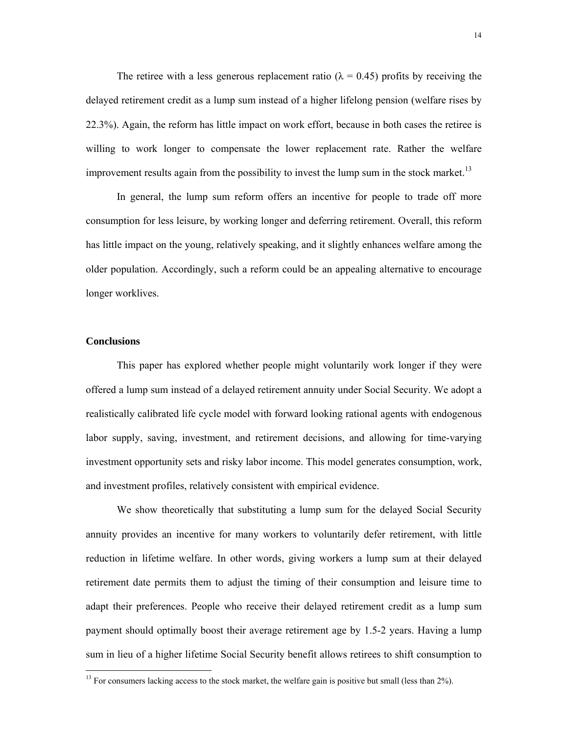The retiree with a less generous replacement ratio ( $\lambda = 0.45$ ) profits by receiving the delayed retirement credit as a lump sum instead of a higher lifelong pension (welfare rises by 22.3%). Again, the reform has little impact on work effort, because in both cases the retiree is willing to work longer to compensate the lower replacement rate. Rather the welfare improvement results again from the possibility to invest the lump sum in the stock market.<sup>13</sup>

 In general, the lump sum reform offers an incentive for people to trade off more consumption for less leisure, by working longer and deferring retirement. Overall, this reform has little impact on the young, relatively speaking, and it slightly enhances welfare among the older population. Accordingly, such a reform could be an appealing alternative to encourage longer worklives.

# **Conclusions**

 $\overline{a}$ 

This paper has explored whether people might voluntarily work longer if they were offered a lump sum instead of a delayed retirement annuity under Social Security. We adopt a realistically calibrated life cycle model with forward looking rational agents with endogenous labor supply, saving, investment, and retirement decisions, and allowing for time-varying investment opportunity sets and risky labor income. This model generates consumption, work, and investment profiles, relatively consistent with empirical evidence.

We show theoretically that substituting a lump sum for the delayed Social Security annuity provides an incentive for many workers to voluntarily defer retirement, with little reduction in lifetime welfare. In other words, giving workers a lump sum at their delayed retirement date permits them to adjust the timing of their consumption and leisure time to adapt their preferences. People who receive their delayed retirement credit as a lump sum payment should optimally boost their average retirement age by 1.5-2 years. Having a lump sum in lieu of a higher lifetime Social Security benefit allows retirees to shift consumption to

<sup>&</sup>lt;sup>13</sup> For consumers lacking access to the stock market, the welfare gain is positive but small (less than 2%).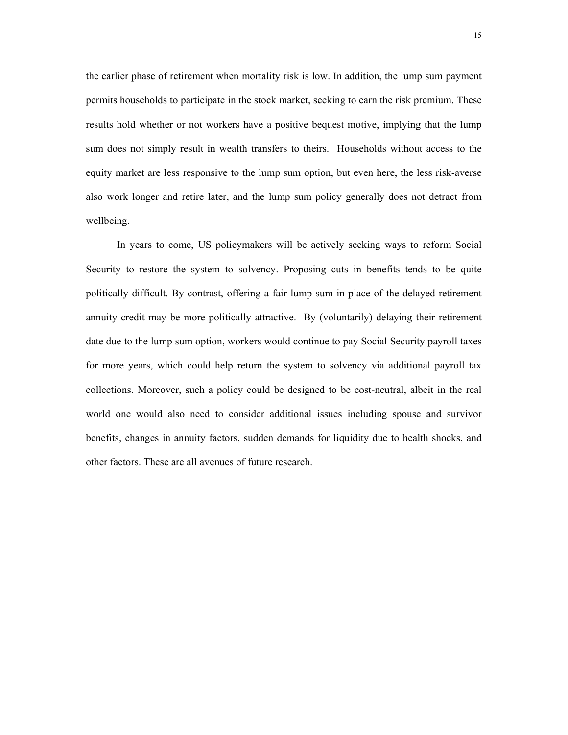the earlier phase of retirement when mortality risk is low. In addition, the lump sum payment permits households to participate in the stock market, seeking to earn the risk premium. These results hold whether or not workers have a positive bequest motive, implying that the lump sum does not simply result in wealth transfers to theirs. Households without access to the equity market are less responsive to the lump sum option, but even here, the less risk-averse also work longer and retire later, and the lump sum policy generally does not detract from wellbeing.

In years to come, US policymakers will be actively seeking ways to reform Social Security to restore the system to solvency. Proposing cuts in benefits tends to be quite politically difficult. By contrast, offering a fair lump sum in place of the delayed retirement annuity credit may be more politically attractive. By (voluntarily) delaying their retirement date due to the lump sum option, workers would continue to pay Social Security payroll taxes for more years, which could help return the system to solvency via additional payroll tax collections. Moreover, such a policy could be designed to be cost-neutral, albeit in the real world one would also need to consider additional issues including spouse and survivor benefits, changes in annuity factors, sudden demands for liquidity due to health shocks, and other factors. These are all avenues of future research.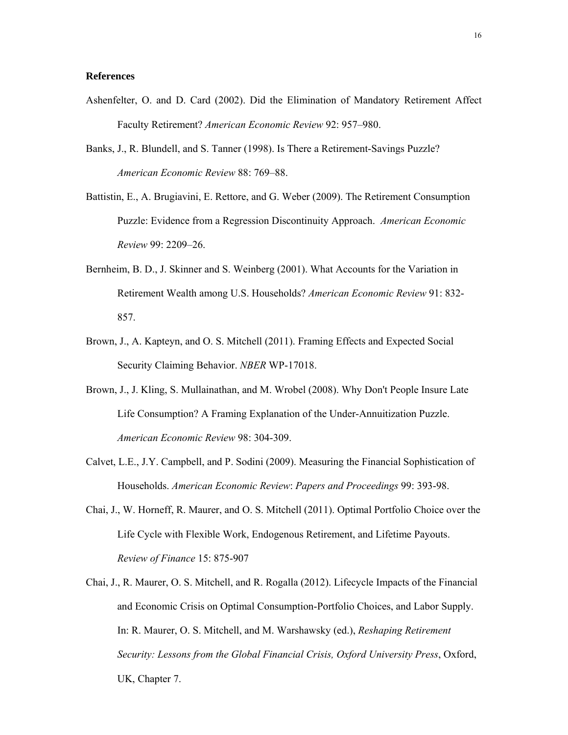# **References**

- Ashenfelter, O. and D. Card (2002). Did the Elimination of Mandatory Retirement Affect Faculty Retirement? *American Economic Review* 92: 957–980.
- Banks, J., R. Blundell, and S. Tanner (1998). Is There a Retirement-Savings Puzzle? *American Economic Review* 88: 769–88.
- Battistin, E., A. Brugiavini, E. Rettore, and G. Weber (2009). The Retirement Consumption Puzzle: Evidence from a Regression Discontinuity Approach. *American Economic Review* 99: 2209–26.
- Bernheim, B. D., J. Skinner and S. Weinberg (2001). What Accounts for the Variation in Retirement Wealth among U.S. Households? *American Economic Review* 91: 832- 857.
- Brown, J., A. Kapteyn, and O. S. Mitchell (2011). Framing Effects and Expected Social Security Claiming Behavior. *NBER* WP-17018.
- Brown, J., J. Kling, S. Mullainathan, and M. Wrobel (2008). Why Don't People Insure Late Life Consumption? A Framing Explanation of the Under-Annuitization Puzzle. *American Economic Review* 98: 304-309.
- Calvet, L.E., J.Y. Campbell, and P. Sodini (2009). Measuring the Financial Sophistication of Households. *American Economic Review*: *Papers and Proceedings* 99: 393-98.
- Chai, J., W. Horneff, R. Maurer, and O. S. Mitchell (2011). Optimal Portfolio Choice over the Life Cycle with Flexible Work, Endogenous Retirement, and Lifetime Payouts. *Review of Finance* 15: 875-907
- Chai, J., R. Maurer, O. S. Mitchell, and R. Rogalla (2012). Lifecycle Impacts of the Financial and Economic Crisis on Optimal Consumption-Portfolio Choices, and Labor Supply. In: R. Maurer, O. S. Mitchell, and M. Warshawsky (ed.), *Reshaping Retirement Security: Lessons from the Global Financial Crisis, Oxford University Press*, Oxford, UK, Chapter 7.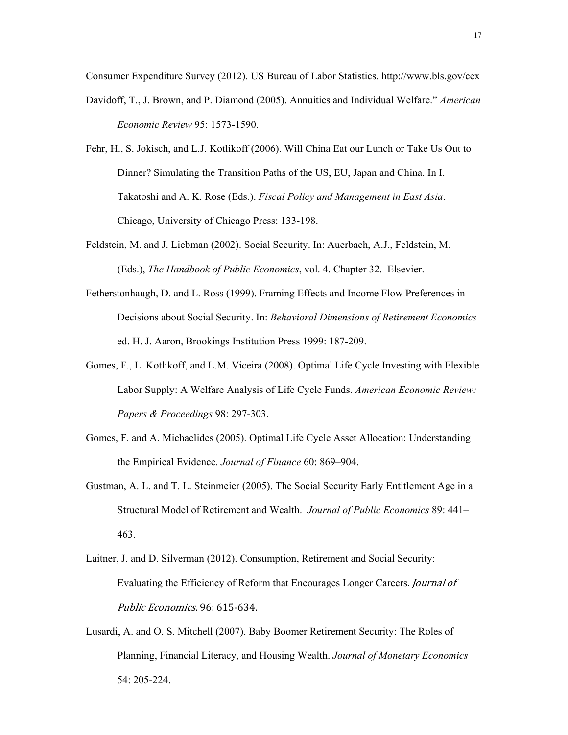Consumer Expenditure Survey (2012). US Bureau of Labor Statistics. http://www.bls.gov/cex Davidoff, T., J. Brown, and P. Diamond (2005). Annuities and Individual Welfare." *American Economic Review* 95: 1573-1590.

- Fehr, H., S. Jokisch, and L.J. Kotlikoff (2006). Will China Eat our Lunch or Take Us Out to Dinner? Simulating the Transition Paths of the US, EU, Japan and China. In I. Takatoshi and A. K. Rose (Eds.). *Fiscal Policy and Management in East Asia*. Chicago, University of Chicago Press: 133-198.
- Feldstein, M. and J. Liebman (2002). Social Security. In: Auerbach, A.J., Feldstein, M. (Eds.), *The Handbook of Public Economics*, vol. 4. Chapter 32. Elsevier.
- Fetherstonhaugh, D. and L. Ross (1999). Framing Effects and Income Flow Preferences in Decisions about Social Security. In: *Behavioral Dimensions of Retirement Economics* ed. H. J. Aaron, Brookings Institution Press 1999: 187-209.
- Gomes, F., L. Kotlikoff, and L.M. Viceira (2008). Optimal Life Cycle Investing with Flexible Labor Supply: A Welfare Analysis of Life Cycle Funds. *American Economic Review: Papers & Proceedings* 98: 297-303.
- Gomes, F. and A. Michaelides (2005). Optimal Life Cycle Asset Allocation: Understanding the Empirical Evidence. *Journal of Finance* 60: 869–904.
- Gustman, A. L. and T. L. Steinmeier (2005). The Social Security Early Entitlement Age in a Structural Model of Retirement and Wealth. *Journal of Public Economics* 89: 441– 463.
- Laitner, J. and D. Silverman (2012). Consumption, Retirement and Social Security: Evaluating the Efficiency of Reform that Encourages Longer Careers. *Journal of* Public Economics. 96: 615-634.
- Lusardi, A. and O. S. Mitchell (2007). Baby Boomer Retirement Security: The Roles of Planning, Financial Literacy, and Housing Wealth. *Journal of Monetary Economics* 54: 205-224.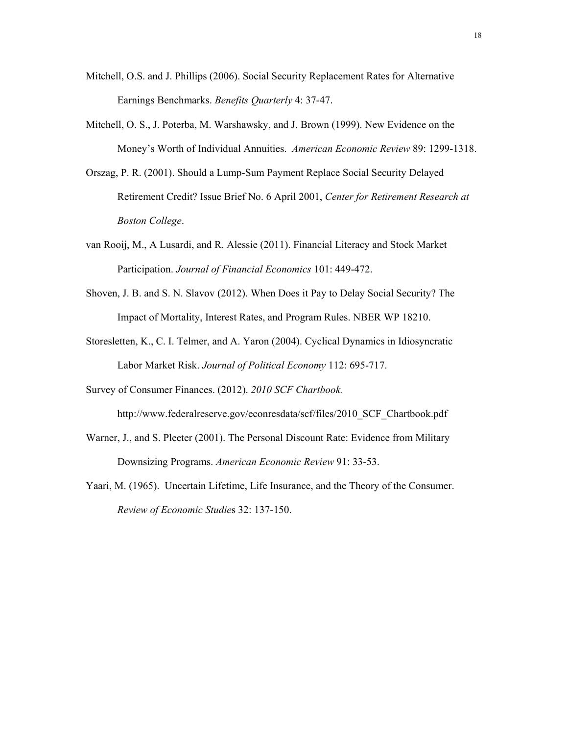- Mitchell, O.S. and J. Phillips (2006). Social Security Replacement Rates for Alternative Earnings Benchmarks. *Benefits Quarterly* 4: 37-47.
- Mitchell, O. S., J. Poterba, M. Warshawsky, and J. Brown (1999). New Evidence on the Money's Worth of Individual Annuities. *American Economic Review* 89: 1299-1318.
- Orszag, P. R. (2001). Should a Lump-Sum Payment Replace Social Security Delayed Retirement Credit? Issue Brief No. 6 April 2001, *Center for Retirement Research at Boston College*.
- van Rooij, M., A Lusardi, and R. Alessie (2011). Financial Literacy and Stock Market Participation. *Journal of Financial Economics* 101: 449-472.
- Shoven, J. B. and S. N. Slavov (2012). When Does it Pay to Delay Social Security? The Impact of Mortality, Interest Rates, and Program Rules. NBER WP 18210.
- Storesletten, K., C. I. Telmer, and A. Yaron (2004). Cyclical Dynamics in Idiosyncratic Labor Market Risk. *Journal of Political Economy* 112: 695-717.
- Survey of Consumer Finances. (2012). *2010 SCF Chartbook.*

http://www.federalreserve.gov/econresdata/scf/files/2010\_SCF\_Chartbook.pdf

- Warner, J., and S. Pleeter (2001). The Personal Discount Rate: Evidence from Military Downsizing Programs. *American Economic Review* 91: 33-53.
- Yaari, M. (1965). Uncertain Lifetime, Life Insurance, and the Theory of the Consumer. *Review of Economic Studie*s 32: 137-150.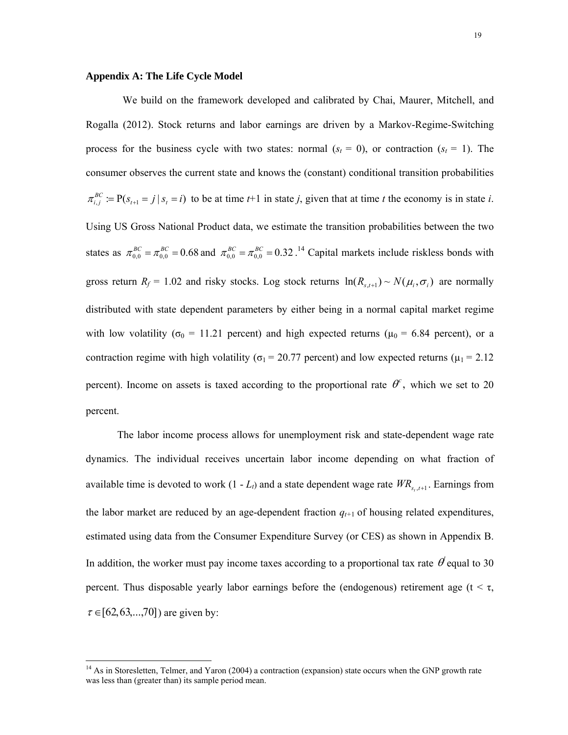# **Appendix A: The Life Cycle Model**

 $\overline{a}$ 

We build on the framework developed and calibrated by Chai, Maurer, Mitchell, and Rogalla (2012). Stock returns and labor earnings are driven by a Markov-Regime-Switching process for the business cycle with two states: normal  $(s_t = 0)$ , or contraction  $(s_t = 1)$ . The consumer observes the current state and knows the (constant) conditional transition probabilities  $\pi_{i,j}^{BC} := P(s_{i+1} = j | s_i = i)$  to be at time *t*+1 in state *j*, given that at time *t* the economy is in state *i*. Using US Gross National Product data, we estimate the transition probabilities between the two states as  $\pi_{0,0}^{BC} = \pi_{0,0}^{BC} = 0.68$  and  $\pi_{0,0}^{BC} = \pi_{0,0}^{BC} = 0.32$ .<sup>14</sup> Capital markets include riskless bonds with gross return  $R_f = 1.02$  and risky stocks. Log stock returns  $\ln(R_{s,t+1}) \sim N(\mu_i, \sigma_i)$  are normally distributed with state dependent parameters by either being in a normal capital market regime with low volatility ( $\sigma_0$  = 11.21 percent) and high expected returns ( $\mu_0$  = 6.84 percent), or a contraction regime with high volatility ( $\sigma_1$  = 20.77 percent) and low expected returns ( $\mu_1$  = 2.12 percent). Income on assets is taxed according to the proportional rate  $\theta^c$ , which we set to 20 percent.

 The labor income process allows for unemployment risk and state-dependent wage rate dynamics. The individual receives uncertain labor income depending on what fraction of available time is devoted to work  $(1 - L_t)$  and a state dependent wage rate  $WR_{s_t, t+1}$ . Earnings from the labor market are reduced by an age-dependent fraction  $q_{t+1}$  of housing related expenditures, estimated using data from the Consumer Expenditure Survey (or CES) as shown in Appendix B. In addition, the worker must pay income taxes according to a proportional tax rate  $\theta$  equal to 30 percent. Thus disposable yearly labor earnings before the (endogenous) retirement age ( $t < \tau$ ,  $\tau \in [62, 63, \ldots, 70]$  are given by:

<sup>&</sup>lt;sup>14</sup> As in Storesletten, Telmer, and Yaron (2004) a contraction (expansion) state occurs when the GNP growth rate was less than (greater than) its sample period mean.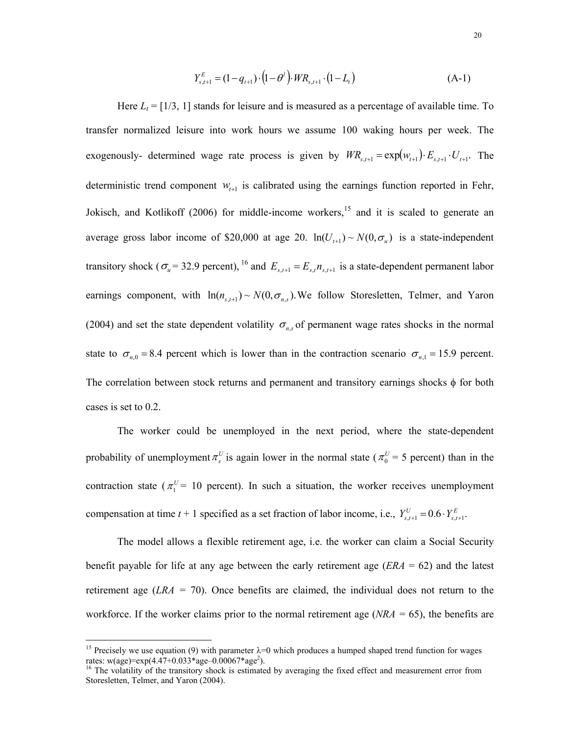$$
Y_{s,t+1}^{E} = (1 - q_{t+1}) \cdot (1 - \theta^t) \cdot WR_{s,t+1} \cdot (1 - L_t)
$$
\n(A-1)

Here  $L_t = [1/3, 1]$  stands for leisure and is measured as a percentage of available time. To transfer normalized leisure into work hours we assume 100 waking hours per week. The exogenously- determined wage rate process is given by  $WR_{s,t+1} = \exp(w_{t+1}) \cdot E_{s,t+1} \cdot U_{t+1}$ . The deterministic trend component  $W_{t+1}$  is calibrated using the earnings function reported in Fehr, Jokisch, and Kotlikoff (2006) for middle-income workers,<sup>15</sup> and it is scaled to generate an average gross labor income of \$20,000 at age 20.  $ln(U_{t+1}) \sim N(0, \sigma_u)$  is a state-independent transitory shock ( $\sigma_u$  = 32.9 percent), <sup>16</sup> and  $E_{s,t+1} = E_{s,t} n_{s,t+1}$  is a state-dependent permanent labor earnings component, with  $\ln(n_{s,t+1}) \sim N(0, \sigma_{n,s})$ . We follow Storesletten, Telmer, and Yaron (2004) and set the state dependent volatility  $\sigma_{n,s}$  of permanent wage rates shocks in the normal state to  $\sigma_{n,0} = 8.4$  percent which is lower than in the contraction scenario  $\sigma_{n,1} = 15.9$  percent. The correlation between stock returns and permanent and transitory earnings shocks  $\phi$  for both cases is set to 0.2.

 The worker could be unemployed in the next period, where the state-dependent probability of unemployment  $\pi_s^U$  is again lower in the normal state ( $\pi_0^U = 5$  percent) than in the contraction state ( $\pi_1^U$  = 10 percent). In such a situation, the worker receives unemployment compensation at time  $t + 1$  specified as a set fraction of labor income, i.e.,  $Y_{s,t+1}^U = 0.6 \cdot Y_{s,t+1}^E$ .

 The model allows a flexible retirement age, i.e. the worker can claim a Social Security benefit payable for life at any age between the early retirement age (*ERA* = 62) and the latest retirement age (*LRA =* 70). Once benefits are claimed, the individual does not return to the workforce. If the worker claims prior to the normal retirement age (*NRA =* 65), the benefits are

 $\overline{a}$ 

<sup>&</sup>lt;sup>15</sup> Precisely we use equation (9) with parameter  $\lambda=0$  which produces a humped shaped trend function for wages rates: w(age)=exp(4.47+0.033\*age–0.00067\*age<sup>2</sup>).

<sup>&</sup>lt;sup>16</sup> The volatility of the transitory shock is estimated by averaging the fixed effect and measurement error from Storesletten, Telmer, and Yaron (2004).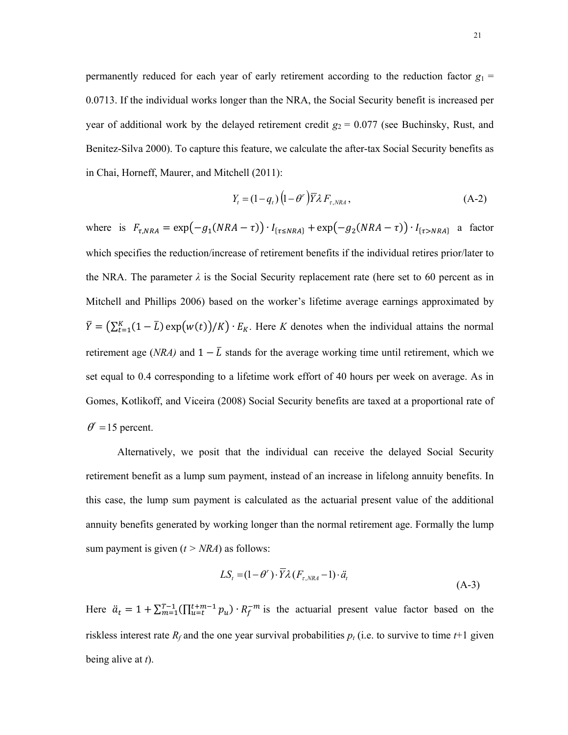permanently reduced for each year of early retirement according to the reduction factor  $g_1$  = 0.0713. If the individual works longer than the NRA, the Social Security benefit is increased per year of additional work by the delayed retirement credit  $g_2 = 0.077$  (see Buchinsky, Rust, and Benitez-Silva 2000). To capture this feature, we calculate the after-tax Social Security benefits as in Chai, Horneff, Maurer, and Mitchell (2011):

$$
Y_t = (1 - q_t) \left( 1 - \theta^r \right) \overline{Y} \lambda F_{\tau, NRA}, \tag{A-2}
$$

where is  $F_{\tau, NRA} = \exp(-g_1(NRA - \tau)) \cdot I_{\{\tau \le NRA\}} + \exp(-g_2(NRA - \tau)) \cdot I_{\{\tau > NRA\}}$  a factor which specifies the reduction/increase of retirement benefits if the individual retires prior/later to the NRA. The parameter  $\lambda$  is the Social Security replacement rate (here set to 60 percent as in Mitchell and Phillips 2006) based on the worker's lifetime average earnings approximated by  $\overline{Y} = (\sum_{t=1}^{K} (1 - \overline{L}) \exp(w(t))/K) \cdot E_K$ . Here *K* denotes when the individual attains the normal retirement age (*NRA*) and  $1 - \overline{L}$  stands for the average working time until retirement, which we set equal to 0.4 corresponding to a lifetime work effort of 40 hours per week on average. As in Gomes, Kotlikoff, and Viceira (2008) Social Security benefits are taxed at a proportional rate of  $\theta$ <sup>r</sup> = 15 percent.

 Alternatively, we posit that the individual can receive the delayed Social Security retirement benefit as a lump sum payment, instead of an increase in lifelong annuity benefits. In this case, the lump sum payment is calculated as the actuarial present value of the additional annuity benefits generated by working longer than the normal retirement age. Formally the lump sum payment is given  $(t > NRA)$  as follows:

$$
LS_{t} = (1 - \theta^{r}) \cdot \overline{Y} \lambda (F_{r, NRA} - 1) \cdot \ddot{a}_{t}
$$
\n(A-3)

Here  $\ddot{a}_t = 1 + \sum_{m=1}^{T-1} (\prod_{u=t}^{t+m-1} p_u) \cdot R_f^{-m}$  is the actuarial present value factor based on the riskless interest rate  $R_f$  and the one year survival probabilities  $p_t$  (i.e. to survive to time  $t+1$  given being alive at *t*).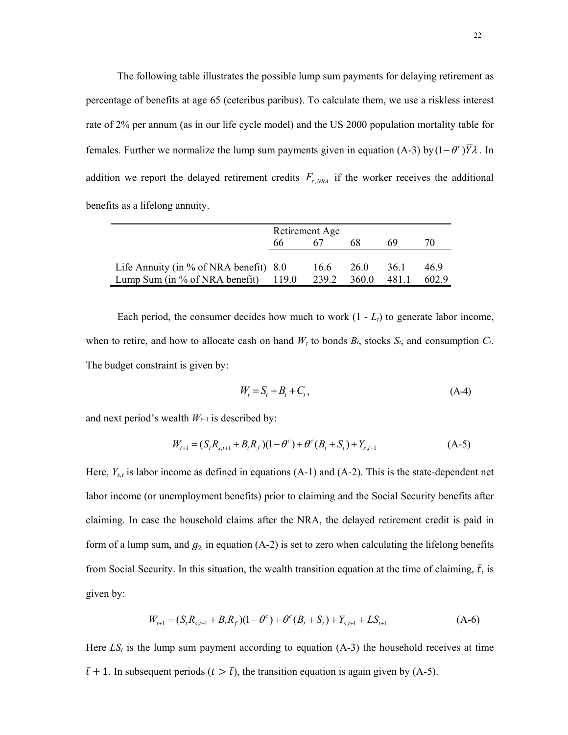The following table illustrates the possible lump sum payments for delaying retirement as percentage of benefits at age 65 (ceteribus paribus). To calculate them, we use a riskless interest rate of 2% per annum (as in our life cycle model) and the US 2000 population mortality table for females. Further we normalize the lump sum payments given in equation (A-3) by  $(1 - \theta^r) \overline{Y} \lambda$ . In addition we report the delayed retirement credits  $F_{\tau, NRA}$  if the worker receives the additional benefits as a lifelong annuity.

|                                           | Retirement Age |      |       |       |      |  |
|-------------------------------------------|----------------|------|-------|-------|------|--|
|                                           | 66             |      | 68    | 69    | 70   |  |
|                                           |                |      |       |       |      |  |
| Life Annuity (in $\%$ of NRA benefit) 8.0 |                | 16.6 | 26.0  | 36. I | 469  |  |
| Lump Sum (in $\%$ of NRA benefit)         | 119.0          | 2392 | 360.0 | 481.1 | 6029 |  |

Each period, the consumer decides how much to work  $(1 - L_t)$  to generate labor income, when to retire, and how to allocate cash on hand  $W_t$  to bonds  $B_t$ , stocks  $S_t$ , and consumption  $C_t$ . The budget constraint is given by:

$$
W_t = S_t + B_t + C_t, \qquad (A-4)
$$

and next period's wealth  $W_{t+1}$  is described by:

$$
W_{t+1} = (S_t R_{s,t+1} + B_t R_f)(1 - \theta^c) + \theta^c (B_t + S_t) + Y_{s,t+1}
$$
(A-5)

Here, *Ys,t* is labor income as defined in equations (A-1) and (A-2). This is the state-dependent net labor income (or unemployment benefits) prior to claiming and the Social Security benefits after claiming. In case the household claims after the NRA, the delayed retirement credit is paid in form of a lump sum, and  $g_2$  in equation (A-2) is set to zero when calculating the lifelong benefits from Social Security. In this situation, the wealth transition equation at the time of claiming,  $\bar{t}$ , is given by:

$$
W_{t+1} = (S_t R_{s,t+1} + B_t R_f)(1 - \theta^c) + \theta^c (B_t + S_t) + Y_{s,t+1} + LS_{t+1}
$$
 (A-6)

Here  $LS<sub>t</sub>$  is the lump sum payment according to equation  $(A-3)$  the household receives at time  $\bar{t}$  + 1. In subsequent periods ( $t > \bar{t}$ ), the transition equation is again given by (A-5).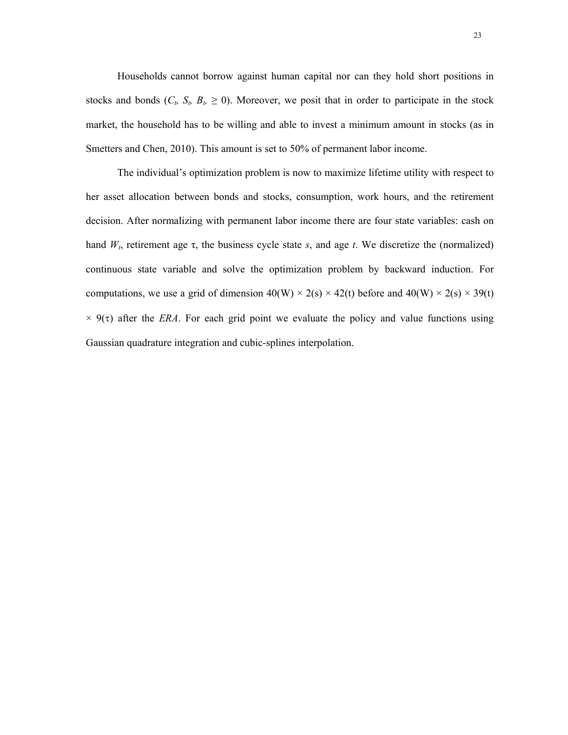Households cannot borrow against human capital nor can they hold short positions in stocks and bonds ( $C_t$ ,  $S_t$ ,  $B_t \ge 0$ ). Moreover, we posit that in order to participate in the stock market, the household has to be willing and able to invest a minimum amount in stocks (as in Smetters and Chen, 2010). This amount is set to 50% of permanent labor income.

 The individual's optimization problem is now to maximize lifetime utility with respect to her asset allocation between bonds and stocks, consumption, work hours, and the retirement decision. After normalizing with permanent labor income there are four state variables: cash on hand  $W_t$ , retirement age  $\tau$ , the business cycle state *s*, and age *t*. We discretize the (normalized) continuous state variable and solve the optimization problem by backward induction. For computations, we use a grid of dimension  $40(W) \times 2(s) \times 42(t)$  before and  $40(W) \times 2(s) \times 39(t)$  $\times$  9( $\tau$ ) after the *ERA*. For each grid point we evaluate the policy and value functions using Gaussian quadrature integration and cubic-splines interpolation.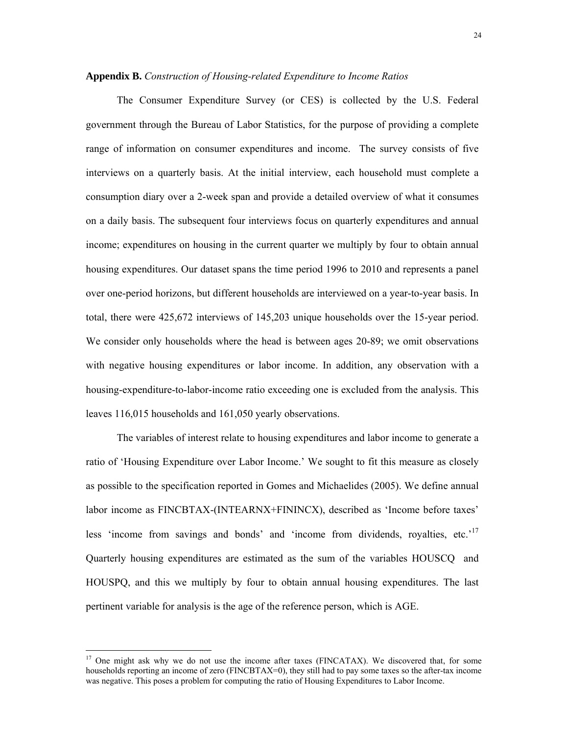### **Appendix B.** *Construction of Housing-related Expenditure to Income Ratios*

 The Consumer Expenditure Survey (or CES) is collected by the U.S. Federal government through the Bureau of Labor Statistics, for the purpose of providing a complete range of information on consumer expenditures and income. The survey consists of five interviews on a quarterly basis. At the initial interview, each household must complete a consumption diary over a 2-week span and provide a detailed overview of what it consumes on a daily basis. The subsequent four interviews focus on quarterly expenditures and annual income; expenditures on housing in the current quarter we multiply by four to obtain annual housing expenditures. Our dataset spans the time period 1996 to 2010 and represents a panel over one-period horizons, but different households are interviewed on a year-to-year basis. In total, there were 425,672 interviews of 145,203 unique households over the 15-year period. We consider only households where the head is between ages 20-89; we omit observations with negative housing expenditures or labor income. In addition, any observation with a housing-expenditure-to-labor-income ratio exceeding one is excluded from the analysis. This leaves 116,015 households and 161,050 yearly observations.

 The variables of interest relate to housing expenditures and labor income to generate a ratio of 'Housing Expenditure over Labor Income.' We sought to fit this measure as closely as possible to the specification reported in Gomes and Michaelides (2005). We define annual labor income as FINCBTAX-(INTEARNX+FININCX), described as 'Income before taxes' less 'income from savings and bonds' and 'income from dividends, royalties, etc.'<sup>17</sup> Quarterly housing expenditures are estimated as the sum of the variables HOUSCQ and HOUSPQ, and this we multiply by four to obtain annual housing expenditures. The last pertinent variable for analysis is the age of the reference person, which is AGE.

 $\overline{a}$ 

 $17$  One might ask why we do not use the income after taxes (FINCATAX). We discovered that, for some households reporting an income of zero (FINCBTAX=0), they still had to pay some taxes so the after-tax income was negative. This poses a problem for computing the ratio of Housing Expenditures to Labor Income.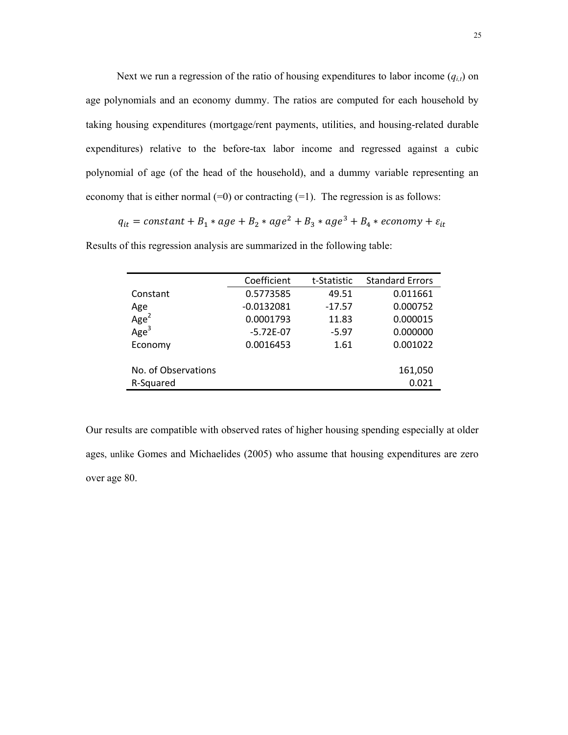Next we run a regression of the ratio of housing expenditures to labor income  $(q_{i,t})$  on age polynomials and an economy dummy. The ratios are computed for each household by taking housing expenditures (mortgage/rent payments, utilities, and housing-related durable expenditures) relative to the before-tax labor income and regressed against a cubic polynomial of age (of the head of the household), and a dummy variable representing an economy that is either normal  $(=0)$  or contracting  $(=1)$ . The regression is as follows:

 $\label{eq:qt} q_{it} = constant + B_1 * age + B_2 * age^2 + B_3 * age^3 + B_4 * economy + \varepsilon_{it}$ 

|                     | Coefficient  | t-Statistic | <b>Standard Errors</b> |
|---------------------|--------------|-------------|------------------------|
| Constant            | 0.5773585    | 49.51       | 0.011661               |
| Age                 | $-0.0132081$ | $-17.57$    | 0.000752               |
| Age <sup>2</sup>    | 0.0001793    | 11.83       | 0.000015               |
| Age <sup>3</sup>    | $-5.72E-07$  | $-5.97$     | 0.000000               |
| Economy             | 0.0016453    | 1.61        | 0.001022               |
|                     |              |             |                        |
| No. of Observations |              |             | 161,050                |
| R-Squared           |              |             | 0.021                  |

Results of this regression analysis are summarized in the following table:

Our results are compatible with observed rates of higher housing spending especially at older ages, unlike Gomes and Michaelides (2005) who assume that housing expenditures are zero over age 80.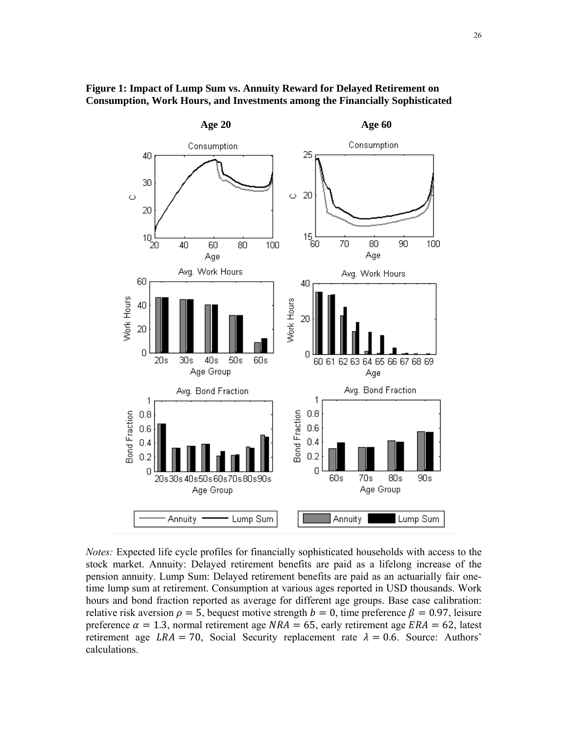

# **Figure 1: Impact of Lump Sum vs. Annuity Reward for Delayed Retirement on Consumption, Work Hours, and Investments among the Financially Sophisticated**

*Notes:* Expected life cycle profiles for financially sophisticated households with access to the stock market. Annuity: Delayed retirement benefits are paid as a lifelong increase of the pension annuity. Lump Sum: Delayed retirement benefits are paid as an actuarially fair onetime lump sum at retirement. Consumption at various ages reported in USD thousands. Work hours and bond fraction reported as average for different age groups. Base case calibration: relative risk aversion  $\rho = 5$ , bequest motive strength  $b = 0$ , time preference  $\beta = 0.97$ , leisure preference  $\alpha = 1.3$ , normal retirement age  $NRA = 65$ , early retirement age  $ERA = 62$ , latest retirement age  $LRA = 70$ , Social Security replacement rate  $\lambda = 0.6$ . Source: Authors' calculations.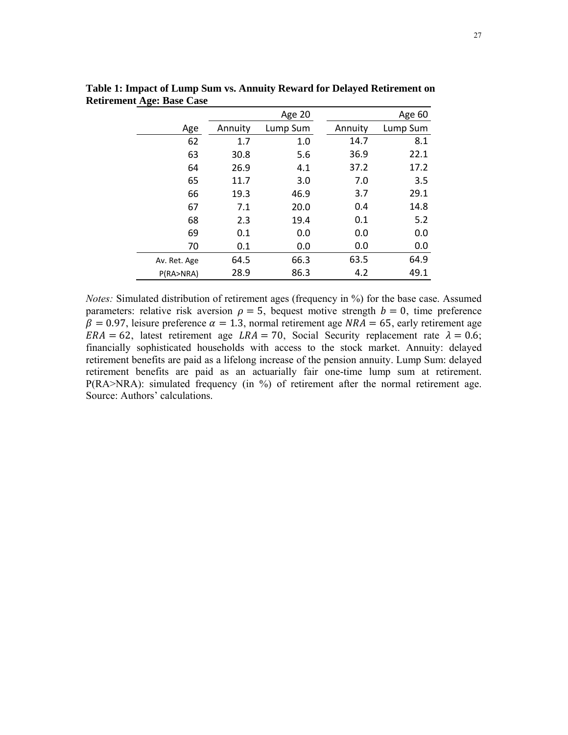|              |         | <b>Age 20</b> |         | Age 60   |
|--------------|---------|---------------|---------|----------|
| Age          | Annuity | Lump Sum      | Annuity | Lump Sum |
| 62           | 1.7     | 1.0           | 14.7    | 8.1      |
| 63           | 30.8    | 5.6           | 36.9    | 22.1     |
| 64           | 26.9    | 4.1           | 37.2    | 17.2     |
| 65           | 11.7    | 3.0           | 7.0     | 3.5      |
| 66           | 19.3    | 46.9          | 3.7     | 29.1     |
| 67           | 7.1     | 20.0          | 0.4     | 14.8     |
| 68           | 2.3     | 19.4          | 0.1     | 5.2      |
| 69           | 0.1     | 0.0           | 0.0     | 0.0      |
| 70           | 0.1     | 0.0           | 0.0     | 0.0      |
| Av. Ret. Age | 64.5    | 66.3          | 63.5    | 64.9     |
| P(RA>NRA)    | 28.9    | 86.3          | 4.2     | 49.1     |

**Table 1: Impact of Lump Sum vs. Annuity Reward for Delayed Retirement on Retirement Age: Base Case** 

*Notes:* Simulated distribution of retirement ages (frequency in %) for the base case. Assumed parameters: relative risk aversion  $\rho = 5$ , bequest motive strength  $b = 0$ , time preference  $\overrightarrow{\beta}$  = 0.97, leisure preference  $\alpha$  = 1.3, normal retirement age NRA = 65, early retirement age  $ERA = 62$ , latest retirement age  $LRA = 70$ , Social Security replacement rate  $\lambda = 0.6$ ; financially sophisticated households with access to the stock market. Annuity: delayed retirement benefits are paid as a lifelong increase of the pension annuity. Lump Sum: delayed retirement benefits are paid as an actuarially fair one-time lump sum at retirement. P(RA>NRA): simulated frequency (in %) of retirement after the normal retirement age. Source: Authors' calculations.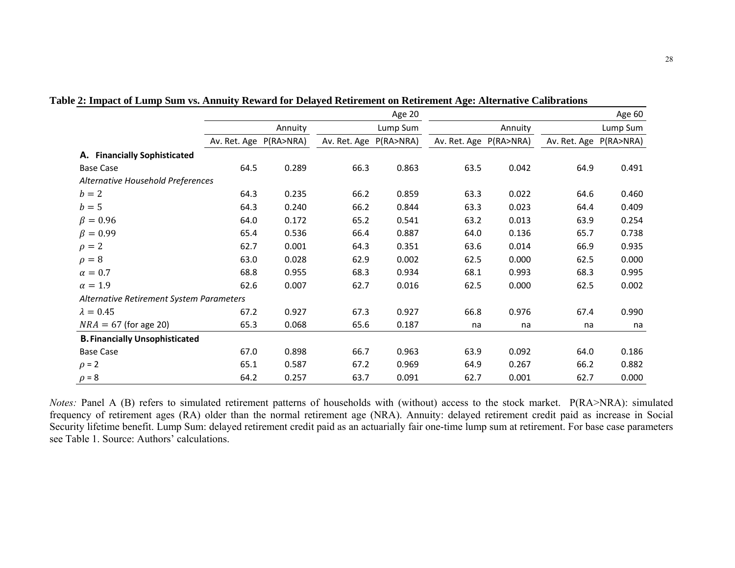|                                          |                        |         |              | Age 20    |                        |         |              | Age 60    |
|------------------------------------------|------------------------|---------|--------------|-----------|------------------------|---------|--------------|-----------|
|                                          |                        | Annuity |              | Lump Sum  |                        | Annuity |              | Lump Sum  |
|                                          | Av. Ret. Age P(RA>NRA) |         | Av. Ret. Age | P(RA>NRA) | Av. Ret. Age P(RA>NRA) |         | Av. Ret. Age | P(RA>NRA) |
| A. Financially Sophisticated             |                        |         |              |           |                        |         |              |           |
| <b>Base Case</b>                         | 64.5                   | 0.289   | 66.3         | 0.863     | 63.5                   | 0.042   | 64.9         | 0.491     |
| Alternative Household Preferences        |                        |         |              |           |                        |         |              |           |
| $b=2$                                    | 64.3                   | 0.235   | 66.2         | 0.859     | 63.3                   | 0.022   | 64.6         | 0.460     |
| $b=5$                                    | 64.3                   | 0.240   | 66.2         | 0.844     | 63.3                   | 0.023   | 64.4         | 0.409     |
| $\beta = 0.96$                           | 64.0                   | 0.172   | 65.2         | 0.541     | 63.2                   | 0.013   | 63.9         | 0.254     |
| $\beta = 0.99$                           | 65.4                   | 0.536   | 66.4         | 0.887     | 64.0                   | 0.136   | 65.7         | 0.738     |
| $\rho = 2$                               | 62.7                   | 0.001   | 64.3         | 0.351     | 63.6                   | 0.014   | 66.9         | 0.935     |
| $\rho = 8$                               | 63.0                   | 0.028   | 62.9         | 0.002     | 62.5                   | 0.000   | 62.5         | 0.000     |
| $\alpha=0.7$                             | 68.8                   | 0.955   | 68.3         | 0.934     | 68.1                   | 0.993   | 68.3         | 0.995     |
| $\alpha = 1.9$                           | 62.6                   | 0.007   | 62.7         | 0.016     | 62.5                   | 0.000   | 62.5         | 0.002     |
| Alternative Retirement System Parameters |                        |         |              |           |                        |         |              |           |
| $\lambda = 0.45$                         | 67.2                   | 0.927   | 67.3         | 0.927     | 66.8                   | 0.976   | 67.4         | 0.990     |
| $NRA = 67$ (for age 20)                  | 65.3                   | 0.068   | 65.6         | 0.187     | na                     | na      | na           | na        |
| <b>B. Financially Unsophisticated</b>    |                        |         |              |           |                        |         |              |           |
| <b>Base Case</b>                         | 67.0                   | 0.898   | 66.7         | 0.963     | 63.9                   | 0.092   | 64.0         | 0.186     |
| $\rho = 2$                               | 65.1                   | 0.587   | 67.2         | 0.969     | 64.9                   | 0.267   | 66.2         | 0.882     |
| $\rho = 8$                               | 64.2                   | 0.257   | 63.7         | 0.091     | 62.7                   | 0.001   | 62.7         | 0.000     |

**Table 2: Impact of Lump Sum vs. Annuity Reward for Delayed Retirement on Retirement Age: Alternative Calibrations** 

*Notes:* Panel A (B) refers to simulated retirement patterns of households with (without) access to the stock market. P(RA>NRA): simulated frequency of retirement ages (RA) older than the normal retirement age (NRA). Annuity: delayed retirement credit paid as increase in Social Security lifetime benefit. Lump Sum: delayed retirement credit paid as an actuarially fair one-time lump sum at retirement. For base case parameters see Table 1. Source: Authors' calculations.